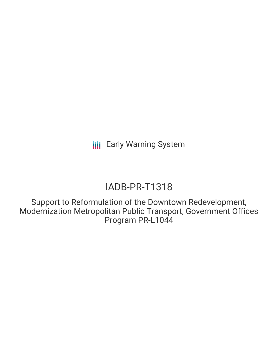# IADB-PR-T1318

Support to Reformulation of the Downtown Redevelopment, Modernization Metropolitan Public Transport, Government Offices Program PR-L1044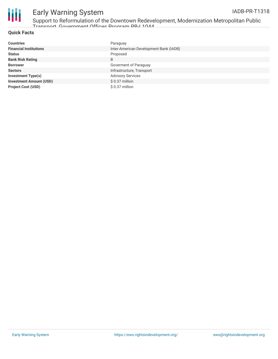



Support to Reformulation of the Downtown Redevelopment, Modernization Metropolitan Public Transport, Government Offices Program PR-L1044

#### **Quick Facts**

| <b>Countries</b>               | Paraguay                               |
|--------------------------------|----------------------------------------|
| <b>Financial Institutions</b>  | Inter-American Development Bank (IADB) |
| <b>Status</b>                  | Proposed                               |
| <b>Bank Risk Rating</b>        | B                                      |
| <b>Borrower</b>                | Goverment of Paraguay                  |
| <b>Sectors</b>                 | Infrastructure, Transport              |
| <b>Investment Type(s)</b>      | <b>Advisory Services</b>               |
| <b>Investment Amount (USD)</b> | \$ 0.37 million                        |
| <b>Project Cost (USD)</b>      | $$0.37$ million                        |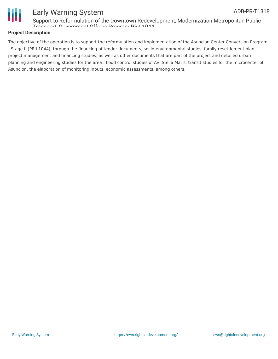

Support to Reformulation of the Downtown Redevelopment, Modernization Metropolitan Public Transport, Government Offices Program PR-L1044

### **Project Description**

The objective of the operation is to support the reformulation and implementation of the Asuncion Center Conversion Program - Stage II (PR-L1044), through the financing of tender documents, socio-environmental studies, family resettlement plan, project management and financing studies, as well as other documents that are part of the project and detailed urban planning and engineering studies for the area , flood control studies of Av. Stella Maris, transit studies for the microcenter of Asuncion, the elaboration of monitoring inputs, economic assessments, among others.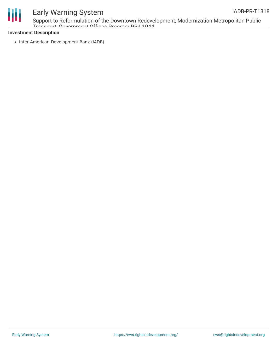



Support to Reformulation of the Downtown Redevelopment, Modernization Metropolitan Public Transport, Government Offices Program PR-L1044

### **Investment Description**

• Inter-American Development Bank (IADB)